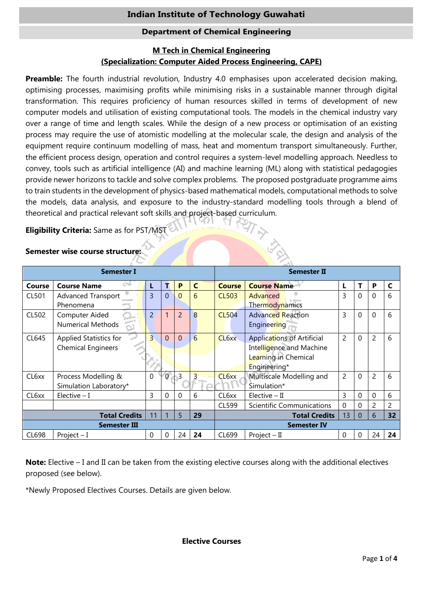# **Indian Institute of Technology Guwahati**

## **Department of Chemical Engineering**

# **M Tech in Chemical Engineering (Specialization: Computer Aided Process Engineering, CAPE)**

**Preamble:** The fourth industrial revolution, Industry 4.0 emphasises upon accelerated decision making, optimising processes, maximising profits while minimising risks in a sustainable manner through digital transformation. This requires proficiency of human resources skilled in terms of development of new computer models and utilisation of existing computational tools. The models in the chemical industry vary over a range of time and length scales. While the design of a new process or optimisation of an existing process may require the use of atomistic modelling at the molecular scale, the design and analysis of the equipment require continuum modelling of mass, heat and momentum transport simultaneously. Further, the efficient process design, operation and control requires a system-level modelling approach. Needless to convey, tools such as artificial intelligence (AI) and machine learning (ML) along with statistical pedagogies provide newer horizons to tackle and solve complex problems. The proposed postgraduate programme aims to train students in the development of physics-based mathematical models, computational methods to solve the models, data analysis, and exposure to the industry-standard modelling tools through a blend of theoretical and practical relevant soft skills and project-based curriculum.<br> **Eligibility Criteria:** Same as for PST/MST<br>
All and project-based curriculum.

**Eligibility Criteria:** Same as for PST/MST

| <b>Semester I</b>                     |                           |                |                |                |              |                    | <b>Semester II</b>                |                |              |                |    |
|---------------------------------------|---------------------------|----------------|----------------|----------------|--------------|--------------------|-----------------------------------|----------------|--------------|----------------|----|
| Course                                | n<br><b>Course Name</b>   |                | т              | P              | $\mathsf{C}$ | <b>Course</b>      | <b>Course Name</b>                | L              | Т            | P              | C  |
| CL501                                 | <b>Advanced Transport</b> | 3              | $\overline{0}$ | $\Omega$       | 6            | <b>CL503</b>       | Advanced                          | 3              | $\Omega$     | $\Omega$       | 6  |
|                                       | Phenomena                 |                |                |                |              |                    | Thermodynamics                    |                |              |                |    |
| CL502                                 | Computer Aided            | $\overline{2}$ |                | $\overline{2}$ | 8            | <b>CL504</b>       | <b>Advanced Reaction</b>          | 3              | $\Omega$     | $\mathbf{0}$   | 6  |
|                                       | <b>Numerical Methods</b>  |                |                |                |              |                    | Engineering                       |                |              |                |    |
| CL645                                 | Applied Statistics for    | $\overline{3}$ | $\overline{0}$ | $\Omega$       | 6            | CL <sub>6</sub> xx | <b>Applications of Artificial</b> | $\overline{c}$ | $\Omega$     | $\overline{2}$ | 6  |
|                                       | <b>Chemical Engineers</b> |                |                |                |              |                    | Intelligence and Machine          |                |              |                |    |
|                                       |                           |                |                |                |              |                    | Learning in Chemical              |                |              |                |    |
|                                       |                           |                |                |                |              |                    | Engineering*                      |                |              |                |    |
| CL <sub>6</sub> xx                    | Process Modelling &       | $\Omega$       | $\mathbf{0}$   | $\overline{3}$ |              | CL <sub>6</sub> xx | Multiscale Modelling and          | $\overline{2}$ | $\Omega$     | $\overline{2}$ | 6  |
|                                       | Simulation Laboratory*    |                |                |                |              |                    | Simulation*                       |                |              |                |    |
| CL <sub>6</sub> xx                    | Elective $-1$             | 3              | $\overline{0}$ | $\Omega$       | 6            | CL <sub>6</sub> xx | $Electric - II$                   | 3              | $\mathbf{0}$ | $\Omega$       | 6  |
|                                       |                           |                |                |                |              | CL599              | Scientific Communications         | 0              | 0            | 2              | 2  |
| 11<br>5<br><b>Total Credits</b><br>29 |                           |                |                |                |              |                    | <b>Total Credits</b>              | 13             | $\Omega$     | 6              | 32 |
| <b>Semester III</b>                   |                           |                |                |                |              | <b>Semester IV</b> |                                   |                |              |                |    |
| CL698                                 | Project $-I$              | 0              | 0              | 24             | 24           | CL699              | $Project - II$                    | 0              | 0            | 24             | 24 |

# **Semester wise course structure:**

**Note:** Elective – I and II can be taken from the existing elective courses along with the additional electives proposed (see below).

\*Newly Proposed Electives Courses. Details are given below.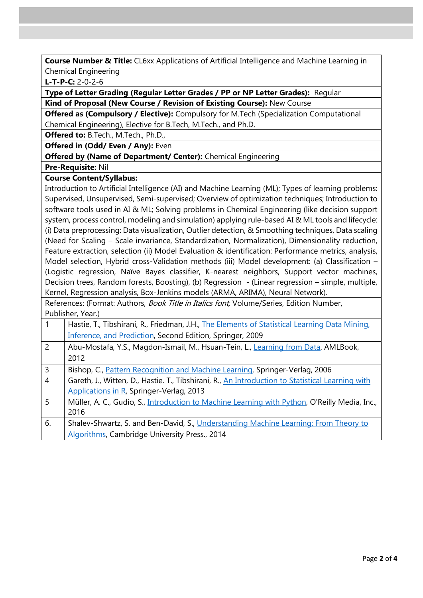**Course Number & Title:** CL6xx Applications of Artificial Intelligence and Machine Learning in Chemical Engineering

**L-T-P-C:** 2-0-2-6

**Type of Letter Grading (Regular Letter Grades / PP or NP Letter Grades):** Regular **Kind of Proposal (New Course / Revision of Existing Course):** New Course

**Offered as (Compulsory / Elective):** Compulsory for M.Tech (Specialization Computational Chemical Engineering), Elective for B.Tech, M.Tech., and Ph.D.

**Offered to:** B.Tech., M.Tech., Ph.D.,

**Offered in (Odd/ Even / Any): Even** 

### **Offered by (Name of Department/ Center):** Chemical Engineering

**Pre-Requisite:** Nil

### **Course Content/Syllabus:**

Introduction to Artificial Intelligence (AI) and Machine Learning (ML); Types of learning problems: Supervised, Unsupervised, Semi-supervised; Overview of optimization techniques; Introduction to software tools used in AI & ML; Solving problems in Chemical Engineering (like decision support system, process control, modeling and simulation) applying rule-based AI & ML tools and lifecycle: (i) Data preprocessing: Data visualization, Outlier detection, & Smoothing techniques, Data scaling (Need for Scaling – Scale invariance, Standardization, Normalization), Dimensionality reduction, Feature extraction, selection (ii) Model Evaluation & identification: Performance metrics, analysis, Model selection, Hybrid cross-Validation methods (iii) Model development: (a) Classification – (Logistic regression, Naïve Bayes classifier, K-nearest neighbors, Support vector machines, Decision trees, Random forests, Boosting), (b) Regression - (Linear regression – simple, multiple, Kernel, Regression analysis, Box-Jenkins models (ARMA, ARIMA), Neural Network).

References: (Format: Authors, Book Title in Italics font, Volume/Series, Edition Number, Publisher, Year.)

|                | Hastie, T., Tibshirani, R., Friedman, J.H., The Elements of Statistical Learning Data Mining.         |
|----------------|-------------------------------------------------------------------------------------------------------|
|                | Inference, and Prediction, Second Edition, Springer, 2009                                             |
| 2              | Abu-Mostafa, Y.S., Magdon-Ismail, M., Hsuan-Tein, L., Learning from Data. AMLBook,                    |
|                | 2012                                                                                                  |
| 3              | Bishop, C., Pattern Recognition and Machine Learning. Springer-Verlag, 2006                           |
| $\overline{4}$ | Gareth, J., Witten, D., Hastie. T., Tibshirani, R., An Introduction to Statistical Learning with      |
|                | Applications in R, Springer-Verlag, 2013                                                              |
| 5              | Müller, A. C., Gudio, S., <i>Introduction to Machine Learning with Python</i> , O'Reilly Media, Inc., |
|                | 2016                                                                                                  |
| 6.             | Shalev-Shwartz, S. and Ben-David, S., Understanding Machine Learning: From Theory to                  |
|                | Algorithms, Cambridge University Press., 2014                                                         |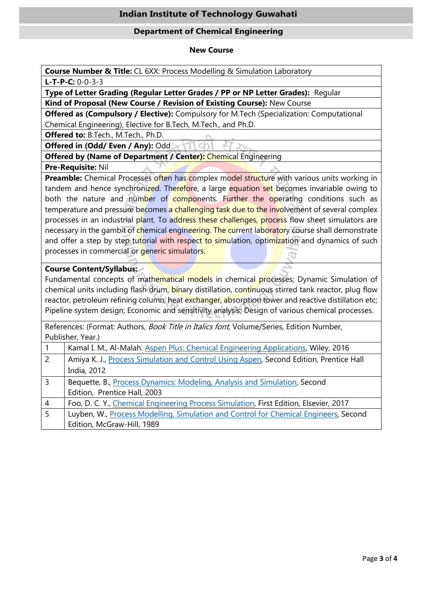# **Indian Institute of Technology Guwahati**

### **Department of Chemical Engineering**

#### **New Course**

**Course Number & Title:** CL 6XX: Process Modelling & Simulation Laboratory

**L-T-P-C:** 0-0-3-3

**Type of Letter Grading (Regular Letter Grades / PP or NP Letter Grades):** Regular

**Kind of Proposal (New Course / Revision of Existing Course):** New Course

**Offered as (Compulsory / Elective):** Compulsory for M.Tech (Specialization: Computational Chemical Engineering), Elective for B.Tech, M.Tech., and Ph.D.

**Offered to:** B.Tech., M.Tech., Ph.D.

**Offered in (Odd/ Even / Any):** Odd

**Offered by (Name of Department / Center): Chemical Engineering** 

**Pre-Requisite:** Nil

**Preamble:** Chemical Processes often has complex model structure with various units working in tandem and hence synchronized. Therefore, a large equation set becomes invariable owing to both the nature and number of components. Further the operating conditions such as temperature and pressure becomes a challenging task due to the involvement of several complex processes in an industrial plant. To address these challenges, process flow sheet simulators are necessary in the gambit of chemical engineering. The current laboratory course shall demonstrate and offer a step by step tutorial with respect to simulation, optimization and dynamics of such processes in commercial or *generic* simulators.

## **Course Content/Syllabus:**

Fundamental concepts of mathematical models in chemical processes; Dynamic Simulation of chemical units including flash drum, binary distillation, continuous stirred tank reactor, plug flow reactor, petroleum refining column, heat exchanger, absorption tower and reactive distillation etc; Pipeline system design; Economic and sensitivity analysis; Design of various chemical processes.

References: (Format: Authors, Book Title in Italics font, Volume/Series, Edition Number, Publisher, Year.)

| $\overline{1}$ | Kamal I. M., Al-Malah. Aspen Plus: Chemical Engineering Applications, Wiley, 2016      |
|----------------|----------------------------------------------------------------------------------------|
| $\overline{2}$ | Amiya K. J., Process Simulation and Control Using Aspen, Second Edition, Prentice Hall |
|                | India, 2012                                                                            |
| $\overline{3}$ | Bequette, B., Process Dynamics: Modeling, Analysis and Simulation, Second              |
|                | Edition, Prentice Hall, 2003                                                           |
| $\overline{A}$ | Foo, D. C. Y., Chemical Engineering Process Simulation, First Edition, Elsevier, 2017  |
| 5              | Luyben, W., Process Modelling, Simulation and Control for Chemical Engineers, Second   |
|                | Edition, McGraw-Hill, 1989                                                             |